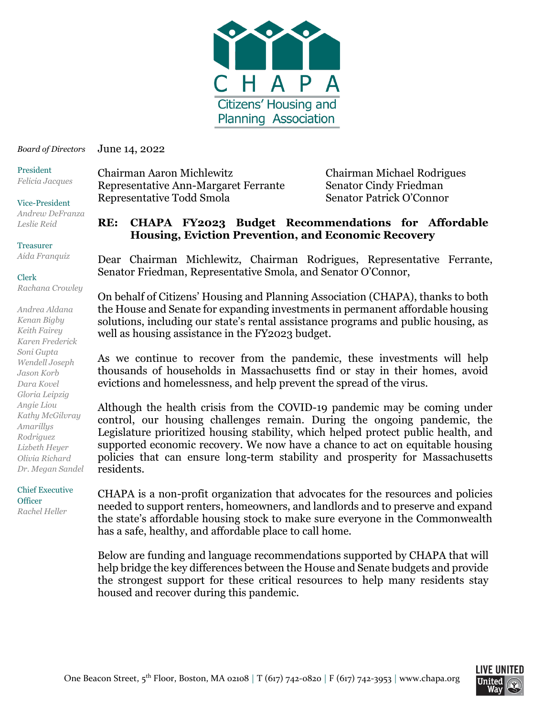

June 14, 2022 *Board of Directors*

President *Felicia Jacques*

#### Vice-President *Andrew DeFranza*

*Leslie Reid*

#### Treasurer

*Aida Franquiz*

#### Clerk

*Rachana Crowley*

*Andrea Aldana Kenan Bigby Keith Fairey Karen Frederick Soni Gupta Wendell Joseph Jason Korb Dara Kovel Gloria Leipzig Angie Liou Kathy McGilvray Amarillys Rodriguez Lizbeth Heyer Olivia Richard Dr. Megan Sandel*

#### Chief Executive **Officer** *Rachel Heller*

Chairman Aaron Michlewitz Chairman Michael Rodrigues Representative Ann-Margaret Ferrante Senator Cindy Friedman Representative Todd Smola Senator Patrick O'Connor

#### **RE: CHAPA FY2023 Budget Recommendations for Affordable Housing, Eviction Prevention, and Economic Recovery**

Dear Chairman Michlewitz, Chairman Rodrigues, Representative Ferrante, Senator Friedman, Representative Smola, and Senator O'Connor,

On behalf of Citizens' Housing and Planning Association (CHAPA), thanks to both the House and Senate for expanding investments in permanent affordable housing solutions, including our state's rental assistance programs and public housing, as well as housing assistance in the FY2023 budget.

As we continue to recover from the pandemic, these investments will help thousands of households in Massachusetts find or stay in their homes, avoid evictions and homelessness, and help prevent the spread of the virus.

Although the health crisis from the COVID-19 pandemic may be coming under control, our housing challenges remain. During the ongoing pandemic, the Legislature prioritized housing stability, which helped protect public health, and supported economic recovery. We now have a chance to act on equitable housing policies that can ensure long-term stability and prosperity for Massachusetts residents.

CHAPA is a non-profit organization that advocates for the resources and policies needed to support renters, homeowners, and landlords and to preserve and expand the state's affordable housing stock to make sure everyone in the Commonwealth has a safe, healthy, and affordable place to call home.

Below are funding and language recommendations supported by CHAPA that will help bridge the key differences between the House and Senate budgets and provide the strongest support for these critical resources to help many residents stay housed and recover during this pandemic.

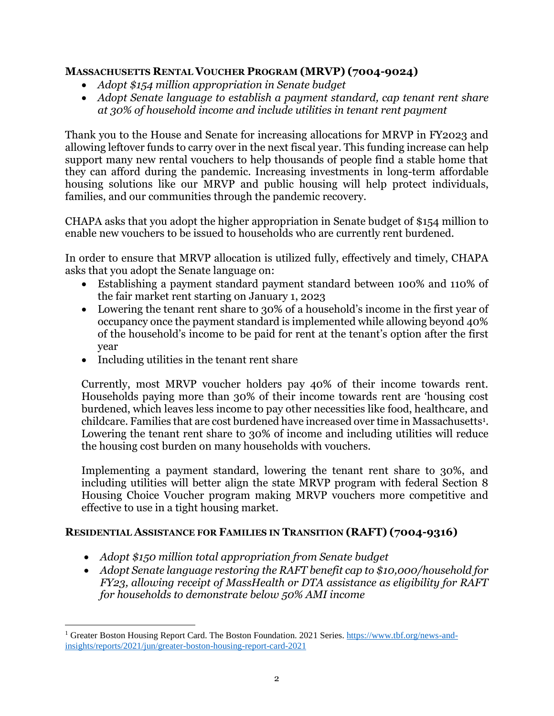# **MASSACHUSETTS RENTAL VOUCHER PROGRAM (MRVP) (7004-9024)**

- *Adopt \$154 million appropriation in Senate budget*
- *Adopt Senate language to establish a payment standard, cap tenant rent share at 30% of household income and include utilities in tenant rent payment*

Thank you to the House and Senate for increasing allocations for MRVP in FY2023 and allowing leftover funds to carry over in the next fiscal year. This funding increase can help support many new rental vouchers to help thousands of people find a stable home that they can afford during the pandemic. Increasing investments in long-term affordable housing solutions like our MRVP and public housing will help protect individuals, families, and our communities through the pandemic recovery.

CHAPA asks that you adopt the higher appropriation in Senate budget of \$154 million to enable new vouchers to be issued to households who are currently rent burdened.

In order to ensure that MRVP allocation is utilized fully, effectively and timely, CHAPA asks that you adopt the Senate language on:

- Establishing a payment standard payment standard between 100% and 110% of the fair market rent starting on January 1, 2023
- Lowering the tenant rent share to 30% of a household's income in the first year of occupancy once the payment standard is implemented while allowing beyond 40% of the household's income to be paid for rent at the tenant's option after the first year
- Including utilities in the tenant rent share

 $\overline{a}$ 

Currently, most MRVP voucher holders pay 40% of their income towards rent. Households paying more than 30% of their income towards rent are 'housing cost burdened, which leaves less income to pay other necessities like food, healthcare, and childcare. Families that are cost burdened have increased over time in Massachusetts<sup>1</sup> . Lowering the tenant rent share to 30% of income and including utilities will reduce the housing cost burden on many households with vouchers.

Implementing a payment standard, lowering the tenant rent share to 30%, and including utilities will better align the state MRVP program with federal Section 8 Housing Choice Voucher program making MRVP vouchers more competitive and effective to use in a tight housing market.

# **RESIDENTIAL ASSISTANCE FOR FAMILIES IN TRANSITION (RAFT) (7004-9316)**

- *Adopt \$150 million total appropriation from Senate budget*
- *Adopt Senate language restoring the RAFT benefit cap to \$10,000/household for FY23, allowing receipt of MassHealth or DTA assistance as eligibility for RAFT for households to demonstrate below 50% AMI income*

<sup>&</sup>lt;sup>1</sup> Greater Boston Housing Report Card. The Boston Foundation. 2021 Series. [https://www.tbf.org/news-and](https://www.tbf.org/news-and-insights/reports/2021/jun/greater-boston-housing-report-card-2021)[insights/reports/2021/jun/greater-boston-housing-report-card-2021](https://www.tbf.org/news-and-insights/reports/2021/jun/greater-boston-housing-report-card-2021)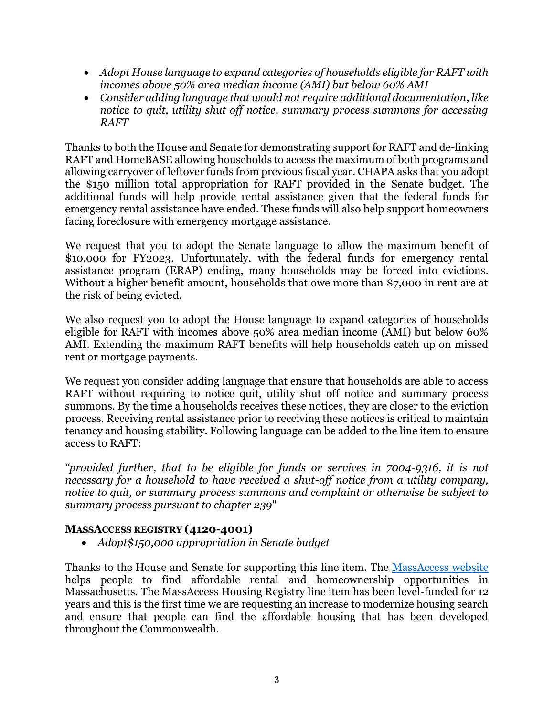- *Adopt House language to expand categories of households eligible for RAFT with incomes above 50% area median income (AMI) but below 60% AMI*
- *Consider adding language that would not require additional documentation, like notice to quit, utility shut off notice, summary process summons for accessing RAFT*

Thanks to both the House and Senate for demonstrating support for RAFT and de-linking RAFT and HomeBASE allowing households to access the maximum of both programs and allowing carryover of leftover funds from previous fiscal year. CHAPA asks that you adopt the \$150 million total appropriation for RAFT provided in the Senate budget. The additional funds will help provide rental assistance given that the federal funds for emergency rental assistance have ended. These funds will also help support homeowners facing foreclosure with emergency mortgage assistance.

We request that you to adopt the Senate language to allow the maximum benefit of \$10,000 for FY2023. Unfortunately, with the federal funds for emergency rental assistance program (ERAP) ending, many households may be forced into evictions. Without a higher benefit amount, households that owe more than \$7,000 in rent are at the risk of being evicted.

We also request you to adopt the House language to expand categories of households eligible for RAFT with incomes above 50% area median income (AMI) but below 60% AMI. Extending the maximum RAFT benefits will help households catch up on missed rent or mortgage payments.

We request you consider adding language that ensure that households are able to access RAFT without requiring to notice quit, utility shut off notice and summary process summons. By the time a households receives these notices, they are closer to the eviction process. Receiving rental assistance prior to receiving these notices is critical to maintain tenancy and housing stability. Following language can be added to the line item to ensure access to RAFT:

*"provided further, that to be eligible for funds or services in 7004-9316, it is not necessary for a household to have received a shut-off notice from a utility company, notice to quit, or summary process summons and complaint or otherwise be subject to summary process pursuant to chapter 239*"

# **MASSACCESS REGISTRY (4120-4001)**

*Adopt\$150,000 appropriation in Senate budget*

Thanks to the House and Senate for supporting this line item. The [MassAccess website](https://www.massaccesshousingregistry.org/) helps people to find affordable rental and homeownership opportunities in Massachusetts. The MassAccess Housing Registry line item has been level-funded for 12 years and this is the first time we are requesting an increase to modernize housing search and ensure that people can find the affordable housing that has been developed throughout the Commonwealth.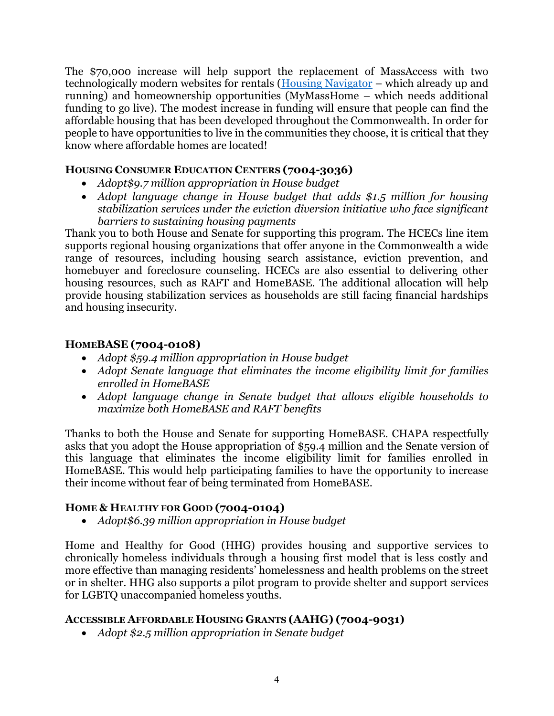The \$70,000 increase will help support the replacement of MassAccess with two technologically modern websites for rentals [\(Housing Navigator](https://housingnavigatorma.org/) – which already up and running) and homeownership opportunities (MyMassHome – which needs additional funding to go live). The modest increase in funding will ensure that people can find the affordable housing that has been developed throughout the Commonwealth. In order for people to have opportunities to live in the communities they choose, it is critical that they know where affordable homes are located!

# **HOUSING CONSUMER EDUCATION CENTERS (7004-3036)**

- *Adopt\$9.7 million appropriation in House budget*
- *Adopt language change in House budget that adds \$1.5 million for housing stabilization services under the eviction diversion initiative who face significant barriers to sustaining housing payments*

Thank you to both House and Senate for supporting this program. The HCECs line item supports regional housing organizations that offer anyone in the Commonwealth a wide range of resources, including housing search assistance, eviction prevention, and homebuyer and foreclosure counseling. HCECs are also essential to delivering other housing resources, such as RAFT and HomeBASE. The additional allocation will help provide housing stabilization services as households are still facing financial hardships and housing insecurity.

#### **HOMEBASE (7004-0108)**

- *Adopt \$59.4 million appropriation in House budget*
- *Adopt Senate language that eliminates the income eligibility limit for families enrolled in HomeBASE*
- *Adopt language change in Senate budget that allows eligible households to maximize both HomeBASE and RAFT benefits*

Thanks to both the House and Senate for supporting HomeBASE. CHAPA respectfully asks that you adopt the House appropriation of \$59.4 million and the Senate version of this language that eliminates the income eligibility limit for families enrolled in HomeBASE. This would help participating families to have the opportunity to increase their income without fear of being terminated from HomeBASE.

# **HOME & HEALTHY FOR GOOD (7004-0104)**

*Adopt\$6.39 million appropriation in House budget*

Home and Healthy for Good (HHG) provides housing and supportive services to chronically homeless individuals through a housing first model that is less costly and more effective than managing residents' homelessness and health problems on the street or in shelter. HHG also supports a pilot program to provide shelter and support services for LGBTQ unaccompanied homeless youths.

# **ACCESSIBLE AFFORDABLE HOUSING GRANTS (AAHG) (7004-9031)**

*Adopt \$2.5 million appropriation in Senate budget*